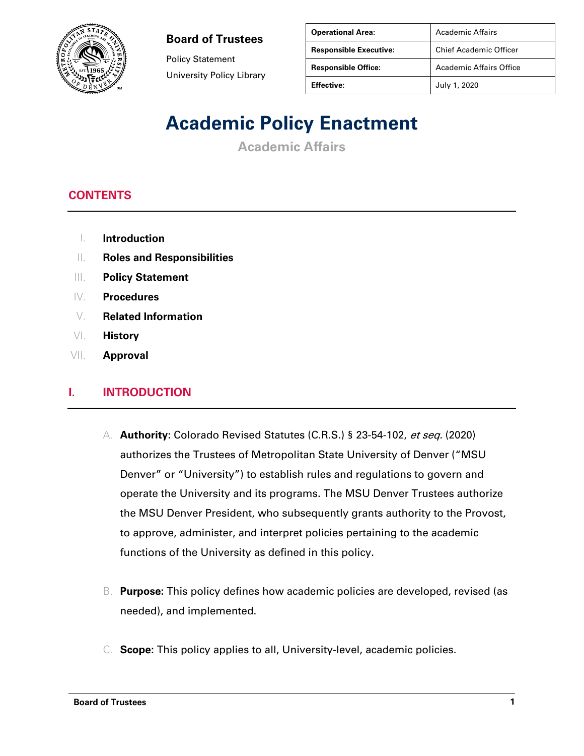

Policy Statement University Policy Library

| <b>Operational Area:</b>      | Academic Affairs              |
|-------------------------------|-------------------------------|
| <b>Responsible Executive:</b> | <b>Chief Academic Officer</b> |
| <b>Responsible Office:</b>    | Academic Affairs Office       |
| <b>Effective:</b>             | July 1, 2020                  |

### **Academic Policy Enactment**

**Academic Affairs**

### **CONTENTS**

- I. **Introduction**
- II. **Roles and Responsibilities**
- III. **Policy Statement**
- IV. **Procedures**
- V. **Related Information**
- VI. **History**
- VII. **Approval**

#### **I. INTRODUCTION**

- A. **Authority:** Colorado Revised Statutes (C.R.S.) § 23-54-102, et seq. (2020) authorizes the Trustees of Metropolitan State University of Denver ("MSU Denver" or "University") to establish rules and regulations to govern and operate the University and its programs. The MSU Denver Trustees authorize the MSU Denver President, who subsequently grants authority to the Provost, to approve, administer, and interpret policies pertaining to the academic functions of the University as defined in this policy.
- B. **Purpose:** This policy defines how academic policies are developed, revised (as needed), and implemented.
- C. **Scope:** This policy applies to all, University-level, academic policies.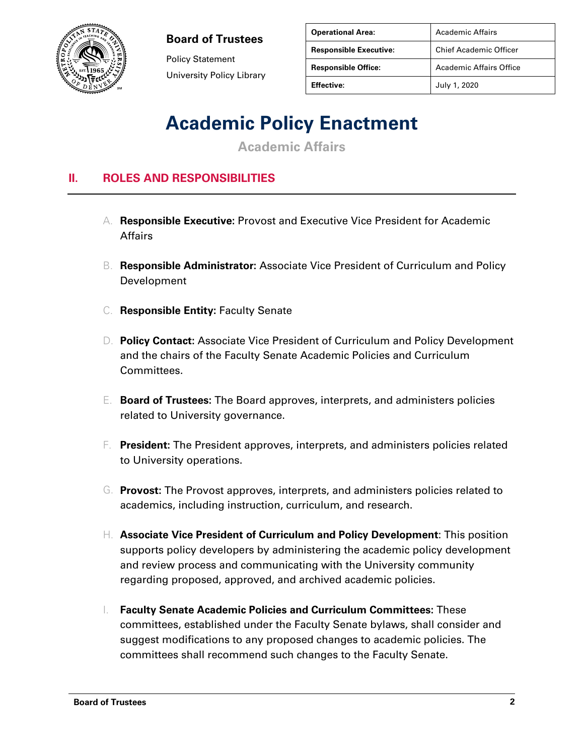

Policy Statement University Policy Library

| <b>Operational Area:</b>      | Academic Affairs               |
|-------------------------------|--------------------------------|
| <b>Responsible Executive:</b> | <b>Chief Academic Officer</b>  |
| <b>Responsible Office:</b>    | <b>Academic Affairs Office</b> |
| <b>Effective:</b>             | July 1, 2020                   |

### **Academic Policy Enactment**

**Academic Affairs**

### **II. ROLES AND RESPONSIBILITIES**

- A. **Responsible Executive:** Provost and Executive Vice President for Academic Affairs
- B. **Responsible Administrator:** Associate Vice President of Curriculum and Policy Development
- C. **Responsible Entity:** Faculty Senate
- D. **Policy Contact:** Associate Vice President of Curriculum and Policy Development and the chairs of the Faculty Senate Academic Policies and Curriculum Committees.
- E. **Board of Trustees:** The Board approves, interprets, and administers policies related to University governance.
- F. **President:** The President approves, interprets, and administers policies related to University operations.
- G. **Provost:** The Provost approves, interprets, and administers policies related to academics, including instruction, curriculum, and research.
- H. **Associate Vice President of Curriculum and Policy Development**: This position supports policy developers by administering the academic policy development and review process and communicating with the University community regarding proposed, approved, and archived academic policies.
- I. **Faculty Senate Academic Policies and Curriculum Committees:** These committees, established under the Faculty Senate bylaws, shall consider and suggest modifications to any proposed changes to academic policies. The committees shall recommend such changes to the Faculty Senate.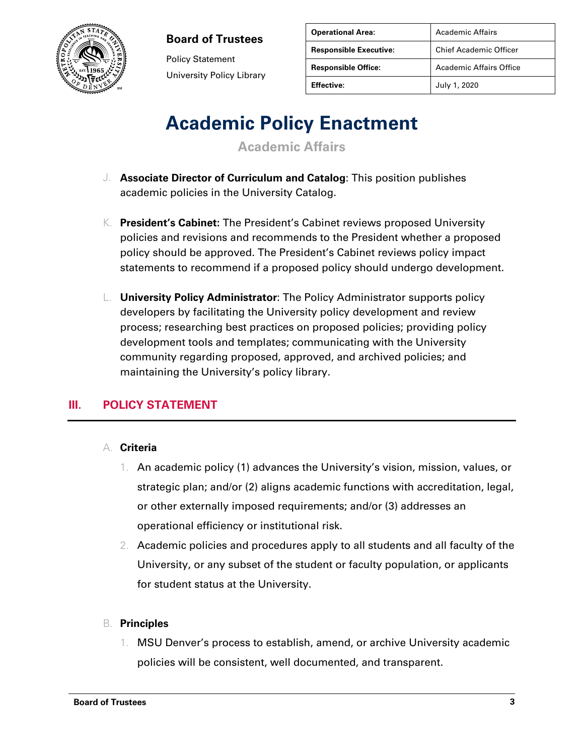

Policy Statement University Policy Library

| <b>Operational Area:</b>      | Academic Affairs              |
|-------------------------------|-------------------------------|
| <b>Responsible Executive:</b> | <b>Chief Academic Officer</b> |
| <b>Responsible Office:</b>    | Academic Affairs Office       |
| Effective:                    | July 1, 2020                  |

# **Academic Policy Enactment**

**Academic Affairs**

- J. **Associate Director of Curriculum and Catalog**: This position publishes academic policies in the University Catalog.
- K. **President's Cabinet:** The President's Cabinet reviews proposed University policies and revisions and recommends to the President whether a proposed policy should be approved. The President's Cabinet reviews policy impact statements to recommend if a proposed policy should undergo development.
- L. **University Policy Administrator**: The Policy Administrator supports policy developers by facilitating the University policy development and review process; researching best practices on proposed policies; providing policy development tools and templates; communicating with the University community regarding proposed, approved, and archived policies; and maintaining the University's policy library.

### **III. POLICY STATEMENT**

#### A. **Criteria**

- 1. An academic policy (1) advances the University's vision, mission, values, or strategic plan; and/or (2) aligns academic functions with accreditation, legal, or other externally imposed requirements; and/or (3) addresses an operational efficiency or institutional risk.
- 2. Academic policies and procedures apply to all students and all faculty of the University, or any subset of the student or faculty population, or applicants for student status at the University.

#### B. **Principles**

1. MSU Denver's process to establish, amend, or archive University academic policies will be consistent, well documented, and transparent.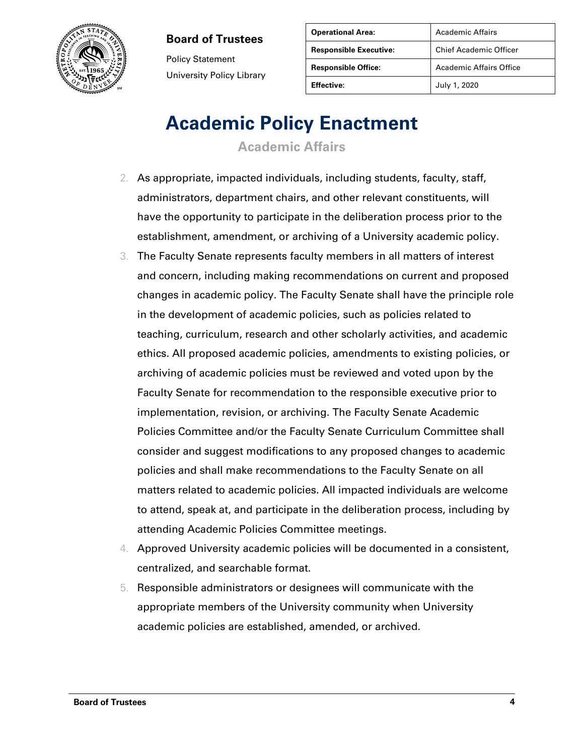

Policy Statement University Policy Library

| <b>Operational Area:</b>      | Academic Affairs               |
|-------------------------------|--------------------------------|
| <b>Responsible Executive:</b> | <b>Chief Academic Officer</b>  |
| <b>Responsible Office:</b>    | <b>Academic Affairs Office</b> |
| <b>Effective:</b>             | July 1, 2020                   |

### **Academic Policy Enactment**

**Academic Affairs**

- 2. As appropriate, impacted individuals, including students, faculty, staff, administrators, department chairs, and other relevant constituents, will have the opportunity to participate in the deliberation process prior to the establishment, amendment, or archiving of a University academic policy.
- 3. The Faculty Senate represents faculty members in all matters of interest and concern, including making recommendations on current and proposed changes in academic policy. The Faculty Senate shall have the principle role in the development of academic policies, such as policies related to teaching, curriculum, research and other scholarly activities, and academic ethics. All proposed academic policies, amendments to existing policies, or archiving of academic policies must be reviewed and voted upon by the Faculty Senate for recommendation to the responsible executive prior to implementation, revision, or archiving. The Faculty Senate Academic Policies Committee and/or the Faculty Senate Curriculum Committee shall consider and suggest modifications to any proposed changes to academic policies and shall make recommendations to the Faculty Senate on all matters related to academic policies. All impacted individuals are welcome to attend, speak at, and participate in the deliberation process, including by attending Academic Policies Committee meetings.
- 4. Approved University academic policies will be documented in a consistent, centralized, and searchable format.
- 5. Responsible administrators or designees will communicate with the appropriate members of the University community when University academic policies are established, amended, or archived.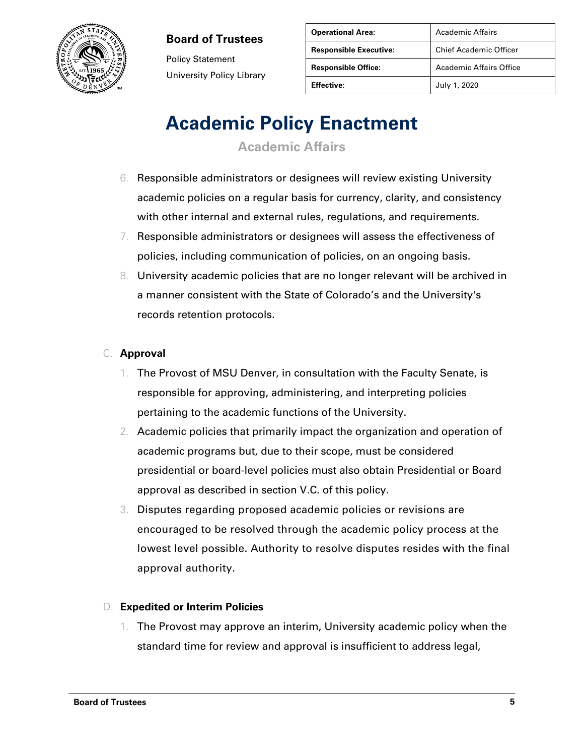

Policy Statement University Policy Library

| <b>Operational Area:</b>      | <b>Academic Affairs</b>        |
|-------------------------------|--------------------------------|
| <b>Responsible Executive:</b> | <b>Chief Academic Officer</b>  |
| <b>Responsible Office:</b>    | <b>Academic Affairs Office</b> |
| <b>Effective:</b>             | July 1, 2020                   |

# **Academic Policy Enactment**

**Academic Affairs**

- 6. Responsible administrators or designees will review existing University academic policies on a regular basis for currency, clarity, and consistency with other internal and external rules, regulations, and requirements.
- 7. Responsible administrators or designees will assess the effectiveness of policies, including communication of policies, on an ongoing basis.
- 8. University academic policies that are no longer relevant will be archived in a manner consistent with the State of Colorado's and the University's records retention protocols.

#### C. **Approval**

- 1. The Provost of MSU Denver, in consultation with the Faculty Senate, is responsible for approving, administering, and interpreting policies pertaining to the academic functions of the University.
- 2. Academic policies that primarily impact the organization and operation of academic programs but, due to their scope, must be considered presidential or board-level policies must also obtain Presidential or Board approval as described in section V.C. of this policy.
- 3. Disputes regarding proposed academic policies or revisions are encouraged to be resolved through the academic policy process at the lowest level possible. Authority to resolve disputes resides with the final approval authority.

#### D. **Expedited or Interim Policies**

1. The Provost may approve an interim, University academic policy when the standard time for review and approval is insufficient to address legal,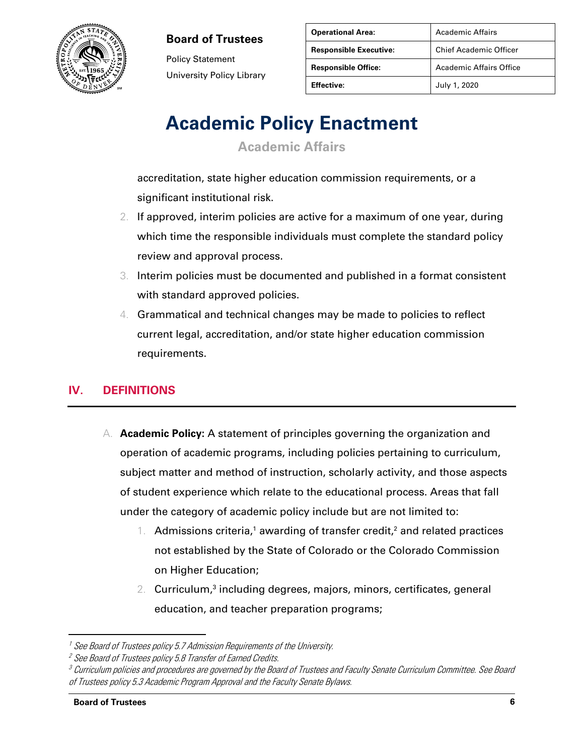

Policy Statement University Policy Library

| <b>Operational Area:</b>      | <b>Academic Affairs</b>        |
|-------------------------------|--------------------------------|
| <b>Responsible Executive:</b> | <b>Chief Academic Officer</b>  |
| <b>Responsible Office:</b>    | <b>Academic Affairs Office</b> |
| <b>Effective:</b>             | July 1, 2020                   |

# **Academic Policy Enactment**

**Academic Affairs**

accreditation, state higher education commission requirements, or a significant institutional risk.

- 2. If approved, interim policies are active for a maximum of one year, during which time the responsible individuals must complete the standard policy review and approval process.
- 3. Interim policies must be documented and published in a format consistent with standard approved policies.
- 4. Grammatical and technical changes may be made to policies to reflect current legal, accreditation, and/or state higher education commission requirements.

### **IV. DEFINITIONS**

- A. **Academic Policy:** A statement of principles governing the organization and operation of academic programs, including policies pertaining to curriculum, subject matter and method of instruction, scholarly activity, and those aspects of student experience which relate to the educational process. Areas that fall under the category of academic policy include but are not limited to:
	- 1. Admissions criteria,<sup>1</sup> awarding of transfer credit,<sup>2</sup> and related practices not established by the State of Colorado or the Colorado Commission on Higher Education;
	- 2. Curriculum,<sup>3</sup> including degrees, majors, minors, certificates, general education, and teacher preparation programs;

<sup>&</sup>lt;sup>1</sup> See Board of Trustees policy 5.7 Admission Requirements of the University.

<sup>&</sup>lt;sup>2</sup> See Board of Trustees policy 5.8 Transfer of Earned Credits.

 $\,^3$  Curriculum policies and procedures are governed by the Board of Trustees and Faculty Senate Curriculum Committee. See Board of Trustees policy 5.3 Academic Program Approval and the Faculty Senate Bylaws.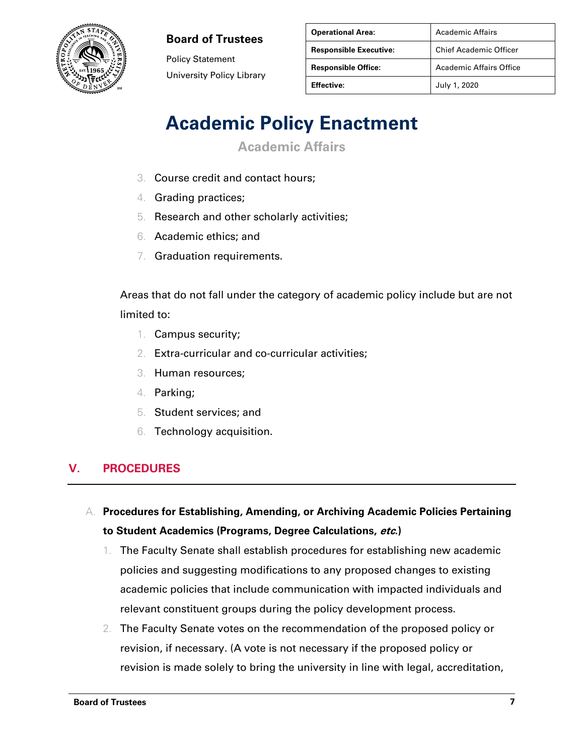

Policy Statement University Policy Library

| <b>Operational Area:</b>      | Academic Affairs               |
|-------------------------------|--------------------------------|
| <b>Responsible Executive:</b> | <b>Chief Academic Officer</b>  |
| <b>Responsible Office:</b>    | <b>Academic Affairs Office</b> |
| <b>Effective:</b>             | July 1, 2020                   |

# **Academic Policy Enactment**

**Academic Affairs**

- 3. Course credit and contact hours;
- 4. Grading practices;
- 5. Research and other scholarly activities;
- 6. Academic ethics; and
- 7. Graduation requirements.

Areas that do not fall under the category of academic policy include but are not limited to:

- 1. Campus security;
- 2. Extra-curricular and co-curricular activities;
- 3. Human resources;
- 4. Parking;
- 5. Student services; and
- 6. Technology acquisition.

### **V. PROCEDURES**

A. **Procedures for Establishing, Amending, or Archiving Academic Policies Pertaining to Student Academics (Programs, Degree Calculations, etc.)**

- 1. The Faculty Senate shall establish procedures for establishing new academic policies and suggesting modifications to any proposed changes to existing academic policies that include communication with impacted individuals and relevant constituent groups during the policy development process.
- 2. The Faculty Senate votes on the recommendation of the proposed policy or revision, if necessary. (A vote is not necessary if the proposed policy or revision is made solely to bring the university in line with legal, accreditation,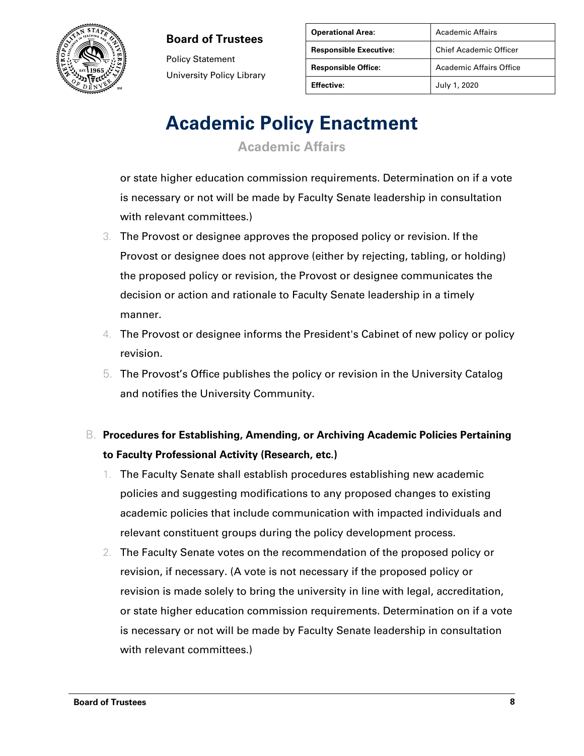

Policy Statement University Policy Library

| <b>Operational Area:</b>      | Academic Affairs               |
|-------------------------------|--------------------------------|
| <b>Responsible Executive:</b> | <b>Chief Academic Officer</b>  |
| <b>Responsible Office:</b>    | <b>Academic Affairs Office</b> |
| <b>Effective:</b>             | July 1, 2020                   |

# **Academic Policy Enactment**

**Academic Affairs**

or state higher education commission requirements. Determination on if a vote is necessary or not will be made by Faculty Senate leadership in consultation with relevant committees.)

- 3. The Provost or designee approves the proposed policy or revision. If the Provost or designee does not approve (either by rejecting, tabling, or holding) the proposed policy or revision, the Provost or designee communicates the decision or action and rationale to Faculty Senate leadership in a timely manner.
- 4. The Provost or designee informs the President's Cabinet of new policy or policy revision.
- 5. The Provost's Office publishes the policy or revision in the University Catalog and notifies the University Community.
- B. **Procedures for Establishing, Amending, or Archiving Academic Policies Pertaining to Faculty Professional Activity (Research, etc.)**
	- 1. The Faculty Senate shall establish procedures establishing new academic policies and suggesting modifications to any proposed changes to existing academic policies that include communication with impacted individuals and relevant constituent groups during the policy development process.
	- 2. The Faculty Senate votes on the recommendation of the proposed policy or revision, if necessary. (A vote is not necessary if the proposed policy or revision is made solely to bring the university in line with legal, accreditation, or state higher education commission requirements. Determination on if a vote is necessary or not will be made by Faculty Senate leadership in consultation with relevant committees.)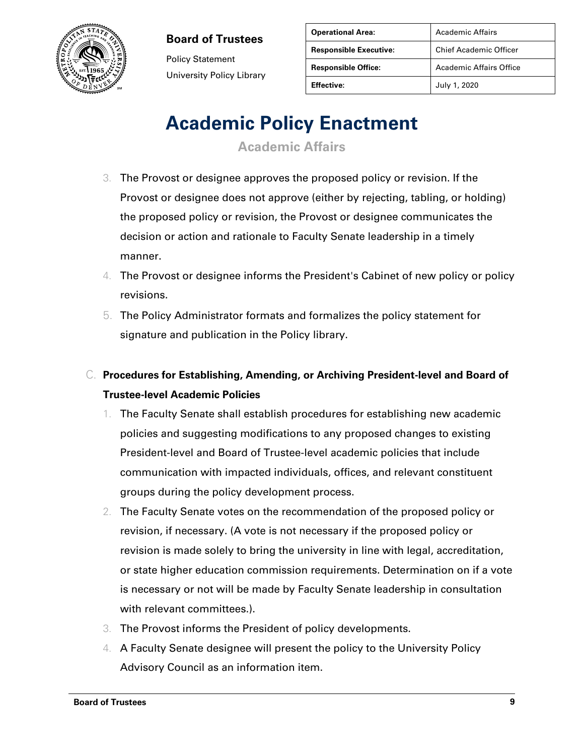

Policy Statement University Policy Library

| <b>Operational Area:</b>      | Academic Affairs               |
|-------------------------------|--------------------------------|
| <b>Responsible Executive:</b> | <b>Chief Academic Officer</b>  |
| <b>Responsible Office:</b>    | <b>Academic Affairs Office</b> |
| <b>Effective:</b>             | July 1, 2020                   |

# **Academic Policy Enactment**

**Academic Affairs**

- 3. The Provost or designee approves the proposed policy or revision. If the Provost or designee does not approve (either by rejecting, tabling, or holding) the proposed policy or revision, the Provost or designee communicates the decision or action and rationale to Faculty Senate leadership in a timely manner.
- 4. The Provost or designee informs the President's Cabinet of new policy or policy revisions.
- 5. The Policy Administrator formats and formalizes the policy statement for signature and publication in the Policy library.
- C. **Procedures for Establishing, Amending, or Archiving President-level and Board of Trustee-level Academic Policies** 
	- 1. The Faculty Senate shall establish procedures for establishing new academic policies and suggesting modifications to any proposed changes to existing President-level and Board of Trustee-level academic policies that include communication with impacted individuals, offices, and relevant constituent groups during the policy development process.
	- 2. The Faculty Senate votes on the recommendation of the proposed policy or revision, if necessary. (A vote is not necessary if the proposed policy or revision is made solely to bring the university in line with legal, accreditation, or state higher education commission requirements. Determination on if a vote is necessary or not will be made by Faculty Senate leadership in consultation with relevant committees.).
	- 3. The Provost informs the President of policy developments.
	- 4. A Faculty Senate designee will present the policy to the University Policy Advisory Council as an information item.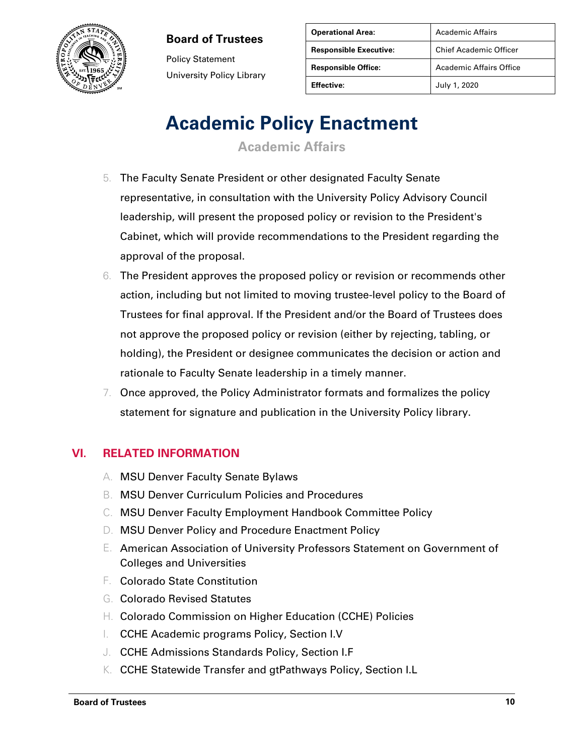

Policy Statement University Policy Library

| <b>Operational Area:</b>      | <b>Academic Affairs</b>       |
|-------------------------------|-------------------------------|
| <b>Responsible Executive:</b> | <b>Chief Academic Officer</b> |
| <b>Responsible Office:</b>    | Academic Affairs Office       |
| <b>Effective:</b>             | July 1, 2020                  |

### **Academic Policy Enactment**

**Academic Affairs**

- 5. The Faculty Senate President or other designated Faculty Senate representative, in consultation with the University Policy Advisory Council leadership, will present the proposed policy or revision to the President's Cabinet, which will provide recommendations to the President regarding the approval of the proposal.
- 6. The President approves the proposed policy or revision or recommends other action, including but not limited to moving trustee-level policy to the Board of Trustees for final approval. If the President and/or the Board of Trustees does not approve the proposed policy or revision (either by rejecting, tabling, or holding), the President or designee communicates the decision or action and rationale to Faculty Senate leadership in a timely manner.
- 7. Once approved, the Policy Administrator formats and formalizes the policy statement for signature and publication in the University Policy library.

### **VI. RELATED INFORMATION**

- A. MSU Denver Faculty Senate Bylaws
- B. MSU Denver Curriculum Policies and Procedures
- C. MSU Denver Faculty Employment Handbook Committee Policy
- D. MSU Denver Policy and Procedure Enactment Policy
- E. American Association of University Professors Statement on Government of Colleges and Universities
- F. Colorado State Constitution
- G. Colorado Revised Statutes
- H. Colorado Commission on Higher Education (CCHE) Policies
- I. CCHE Academic programs Policy, Section I.V
- J. CCHE Admissions Standards Policy, Section I.F
- K. CCHE Statewide Transfer and gtPathways Policy, Section I.L